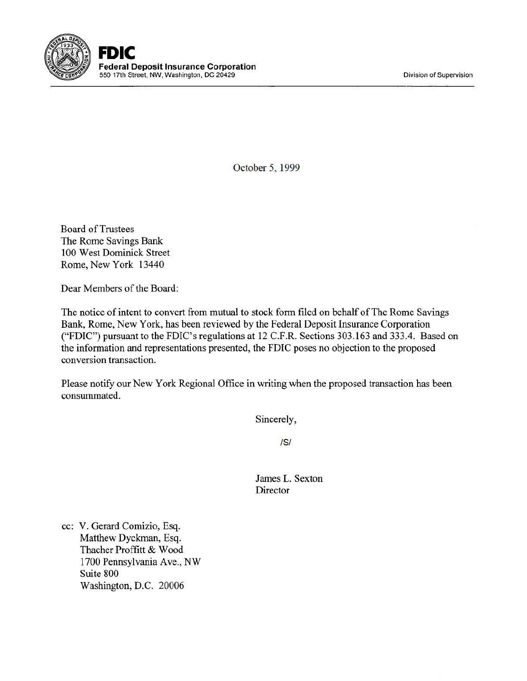Division of Supervision



October 5, 1999

Board of Trustees The Rome Savings Bank 100 West Dominick Street Rome, New York 13440

Dear Members of the Board:

The notice of intent to convert from mutual to stock form filed on behalf of The Rome Savings Bank, Rome, New York, has been reviewed by the Federal Deposit Insurance Corporation ("FDIC") pursuant to the FDIC's regulations at 12 C.F.R. Sections 303.163 and 333.4. Based on the information and representations presented, the FDIC poses no objection to the proposed conversion transaction.

Please notify our New York Regional Office in writing when the proposed transaction has been consummated.

Sincerely,

IS/

James L. Sexton Director

cc: V. Gerard Comizio, Esq. Matthew Dyckman, Esq. Thacher Proffitt & Wood 1700 Pennsylvania Ave., NW Suite 800 Washington, D.C. 20006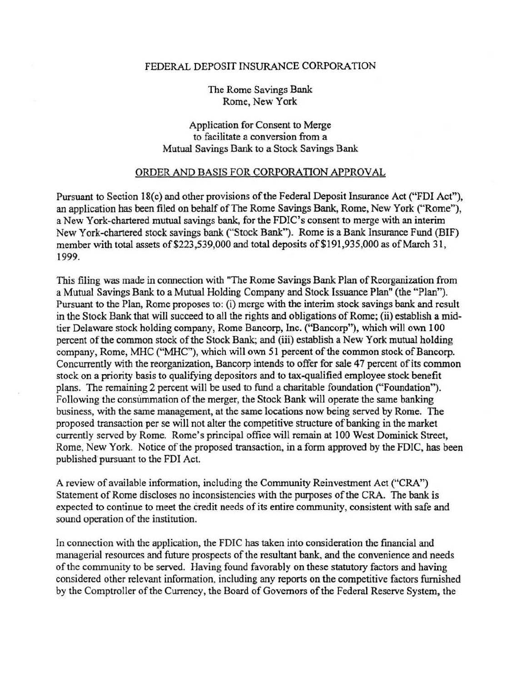## FEDERAL DEPOSIT INSURANCE CORPORATION

The Rome Savings Bank Rome, New York

Application for Consent to Merge to facilitate a conversion from a Mutual Savings Bank to a Stock Savings Bank

## ORDER AND BASIS FOR CORPORATION APPROVAL

Pursuant to Section 18(c) and other provisions of the Federal Deposit Insurance Act ("FDI Act"), an application has been filed on behalf of The Rome Savings Bank, Rome, New York ("Rome"), a New York-chartered mutual savings bank, for the FDIC's consent to merge with an interim New York -chartered stock savings bank ("Stock Bank"). Rome is a Bank Insurance Fund (BIF) member with total assets of \$223,539,000 and total deposits of \$191,935,000 as of March 31, 1999.

This filing was made in connection with "The Rome Savings Bank Plan of Reorganization from a Mutual Savings Bank to a Mutual Holding Company and Stock Issuance Plan" (the "Plan"). Pursuant to the Plan, Rome proposes to: (i) merge with the interim stock savings bank and result in the Stock Bank that will succeed to all the rights and obligations of Rome; (ii) establish a midtier Delaware stock holding company, Rome Bancorp, Inc. ("Bancorp"), which will own 100 percent of the common stock of the Stock Bank; and (iii) establish a New York mutual holding company, Rome, MHC ("MHC"), which will own 51 percent of the common stock of Bancorp. Concurrently with the reorganization, Bancorp intends to offer for sale 47 percent of its common stock on a priority basis to qualifying depositors and to tax-qualified employee stock benefit plans. The remaining 2 percent will be used to fund a charitable foundation ("Foundation"). Following the consummation of the merger, the Stock Bank will operate the same banking business, with the same management, at the same locations now being served by Rome. The proposed transaction per se will not alter the competitive structure of banking in the market currently served by Rome. Rome's principal office will remain at 100 West Dominick Street, Rome, New York. Notice of the proposed transaction, in a form approved by the FDIC, has been published pursuant to the FDI Act.

A review of available information, including the Community Reinvestment Act ("CRA") Statement of Rome discloses no inconsistencies with the purposes of the CRA. The bank is expected to continue to meet the credit needs of its entire community, consistent with safe and sound operation of the institution.

In connection with the application, the FDIC has taken into consideration the financial and managerial resources and future prospects of the resultant bank. and the convenience and needs of the community to be served. Having found favorably on these statutory factors and having considered other relevant infonnation, including any reports on the competitive factors furnished by the Comptroller of the Currency, the Board of Governors of the Federal Reserve System, the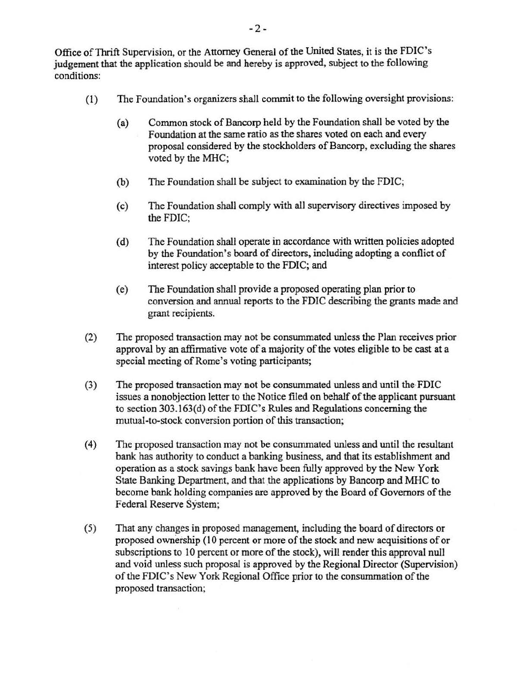Office ofThrift Supervision, or the Attorney General of the United States, it is the FDIC's judgement that the application should be and hereby is approved, subject to the following conditions:

- (1) The Foundation's organizers shall commit to the following oversight provisions:
	- (a) Common stock of Bancorp held by the Foundation shall be voted by the Foundation at the same ratio as the shares voted on each and every proposal considered by the stockholders of Bancorp, excluding the shares voted by the MHC;
	- (b) The Foundation shall be subject to examination by the FDIC;
	- (c) The Foundation shall comply with all supervisory directives imposed by the FDIC;
	- (d) The Foundation shall operate in accordance with written policies adopted by the Foundation's board of directors, including adopting a conflict of interest policy acceptable to the FDIC; and
	- (e) The Foundation shall provide a proposed operating plan prior to conversion and annual reports to the FDIC describing the grants made and grant recipients.
- (2) The proposed transaction may not be conswnmated unless the Plan receives prior approval by an affirmative vote of a majority of the votes eligible to be cast at a special meeting of Rome's voting participants;
- (3) The proposed transaction may not be consummated unless and until the· FDIC issues a nonobjection letter to the Notice filed on behalf of the applicant pursuant to section 303.163(d) ofthe FDIC's Rules and Regulations concerning the mutual-to-stock conversion portion of this transaction;
- (4) The proposed transaction may not be consummated unless and until the resultant bank has authority to conduct a banking business, and that its establishment and operation as a stock savings bank have been fully approved by the New York State Banking Department, and that the applications by Bancorp and MHC to become bank holding companies are approved by the Board of Governors of the Federal Reserve System;
- (5) That any changes in proposed management, including the board of directors or proposed ownership (10 percent or more of the stock and new acquisitions of or subscriptions to 10 percent or more of the stock), will render this approval null and void unless such proposal is approved by the Regional Director (Supervision) of the FDIC's New York Regional Office prior to the consummation ofthe proposed transaction;